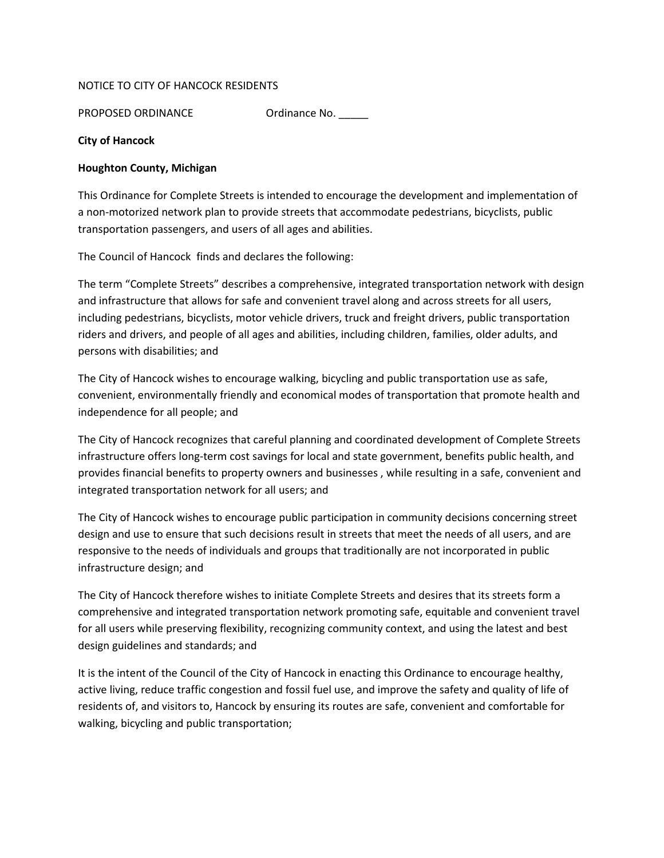## NOTICE TO CITY OF HANCOCK RESIDENTS

PROPOSED ORDINANCE Ordinance No.

## City of Hancock

## Houghton County, Michigan

This Ordinance for Complete Streets is intended to encourage the development and implementation of a non-motorized network plan to provide streets that accommodate pedestrians, bicyclists, public transportation passengers, and users of all ages and abilities.

The Council of Hancock finds and declares the following:

The term "Complete Streets" describes a comprehensive, integrated transportation network with design and infrastructure that allows for safe and convenient travel along and across streets for all users, including pedestrians, bicyclists, motor vehicle drivers, truck and freight drivers, public transportation riders and drivers, and people of all ages and abilities, including children, families, older adults, and persons with disabilities; and

The City of Hancock wishes to encourage walking, bicycling and public transportation use as safe, convenient, environmentally friendly and economical modes of transportation that promote health and independence for all people; and

The City of Hancock recognizes that careful planning and coordinated development of Complete Streets infrastructure offers long-term cost savings for local and state government, benefits public health, and provides financial benefits to property owners and businesses , while resulting in a safe, convenient and integrated transportation network for all users; and

The City of Hancock wishes to encourage public participation in community decisions concerning street design and use to ensure that such decisions result in streets that meet the needs of all users, and are responsive to the needs of individuals and groups that traditionally are not incorporated in public infrastructure design; and

The City of Hancock therefore wishes to initiate Complete Streets and desires that its streets form a comprehensive and integrated transportation network promoting safe, equitable and convenient travel for all users while preserving flexibility, recognizing community context, and using the latest and best design guidelines and standards; and

It is the intent of the Council of the City of Hancock in enacting this Ordinance to encourage healthy, active living, reduce traffic congestion and fossil fuel use, and improve the safety and quality of life of residents of, and visitors to, Hancock by ensuring its routes are safe, convenient and comfortable for walking, bicycling and public transportation;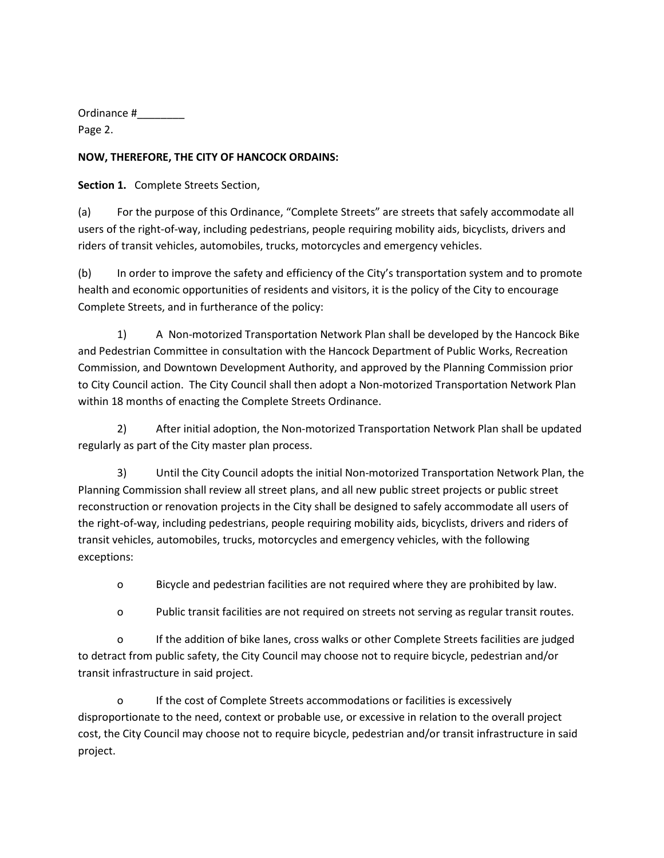Ordinance #\_\_\_\_\_\_\_\_

Page 2.

## NOW, THEREFORE, THE CITY OF HANCOCK ORDAINS:

Section 1. Complete Streets Section,

(a) For the purpose of this Ordinance, "Complete Streets" are streets that safely accommodate all users of the right-of-way, including pedestrians, people requiring mobility aids, bicyclists, drivers and riders of transit vehicles, automobiles, trucks, motorcycles and emergency vehicles.

(b) In order to improve the safety and efficiency of the City's transportation system and to promote health and economic opportunities of residents and visitors, it is the policy of the City to encourage Complete Streets, and in furtherance of the policy:

1) A Non-motorized Transportation Network Plan shall be developed by the Hancock Bike and Pedestrian Committee in consultation with the Hancock Department of Public Works, Recreation Commission, and Downtown Development Authority, and approved by the Planning Commission prior to City Council action. The City Council shall then adopt a Non-motorized Transportation Network Plan within 18 months of enacting the Complete Streets Ordinance.

2) After initial adoption, the Non-motorized Transportation Network Plan shall be updated regularly as part of the City master plan process.

3) Until the City Council adopts the initial Non-motorized Transportation Network Plan, the Planning Commission shall review all street plans, and all new public street projects or public street reconstruction or renovation projects in the City shall be designed to safely accommodate all users of the right-of-way, including pedestrians, people requiring mobility aids, bicyclists, drivers and riders of transit vehicles, automobiles, trucks, motorcycles and emergency vehicles, with the following exceptions:

o Bicycle and pedestrian facilities are not required where they are prohibited by law.

o Public transit facilities are not required on streets not serving as regular transit routes.

o If the addition of bike lanes, cross walks or other Complete Streets facilities are judged to detract from public safety, the City Council may choose not to require bicycle, pedestrian and/or transit infrastructure in said project.

o If the cost of Complete Streets accommodations or facilities is excessively disproportionate to the need, context or probable use, or excessive in relation to the overall project cost, the City Council may choose not to require bicycle, pedestrian and/or transit infrastructure in said project.